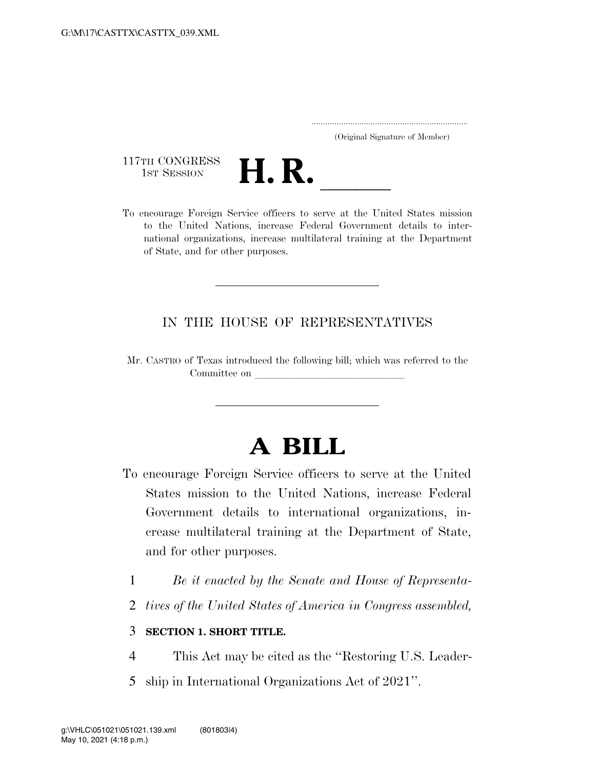..................................................................... (Original Signature of Member)

117TH CONGRESS<br>1st Session



117TH CONGRESS<br>1st SESSION<br>To encourage Foreign Service officers to serve at the United States mission to the United Nations, increase Federal Government details to international organizations, increase multilateral training at the Department of State, and for other purposes.

#### IN THE HOUSE OF REPRESENTATIVES

Mr. CASTRO of Texas introduced the following bill; which was referred to the Committee on

# **A BILL**

- To encourage Foreign Service officers to serve at the United States mission to the United Nations, increase Federal Government details to international organizations, increase multilateral training at the Department of State, and for other purposes.
	- 1 *Be it enacted by the Senate and House of Representa-*
	- 2 *tives of the United States of America in Congress assembled,*

#### 3 **SECTION 1. SHORT TITLE.**

- 4 This Act may be cited as the ''Restoring U.S. Leader-
- 5 ship in International Organizations Act of 2021''.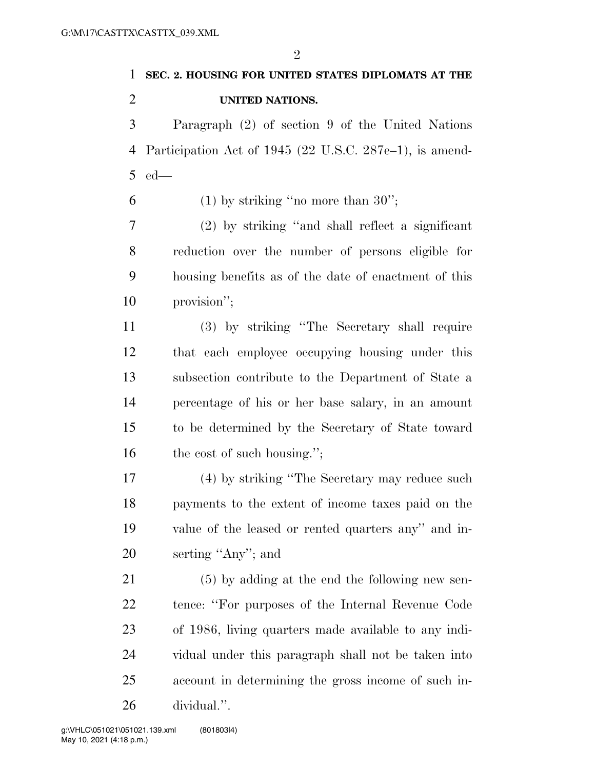$\mathfrak{D}$ 

## **SEC. 2. HOUSING FOR UNITED STATES DIPLOMATS AT THE UNITED NATIONS.**

 Paragraph (2) of section 9 of the United Nations Participation Act of 1945 (22 U.S.C. 287e–1), is amend-ed—

6 (1) by striking "no more than ";

 (2) by striking ''and shall reflect a significant reduction over the number of persons eligible for housing benefits as of the date of enactment of this provision'';

 (3) by striking ''The Secretary shall require that each employee occupying housing under this subsection contribute to the Department of State a percentage of his or her base salary, in an amount to be determined by the Secretary of State toward 16 the cost of such housing.";

 (4) by striking ''The Secretary may reduce such payments to the extent of income taxes paid on the value of the leased or rented quarters any'' and in-serting ''Any''; and

 (5) by adding at the end the following new sen- tence: ''For purposes of the Internal Revenue Code of 1986, living quarters made available to any indi- vidual under this paragraph shall not be taken into account in determining the gross income of such in-dividual.''.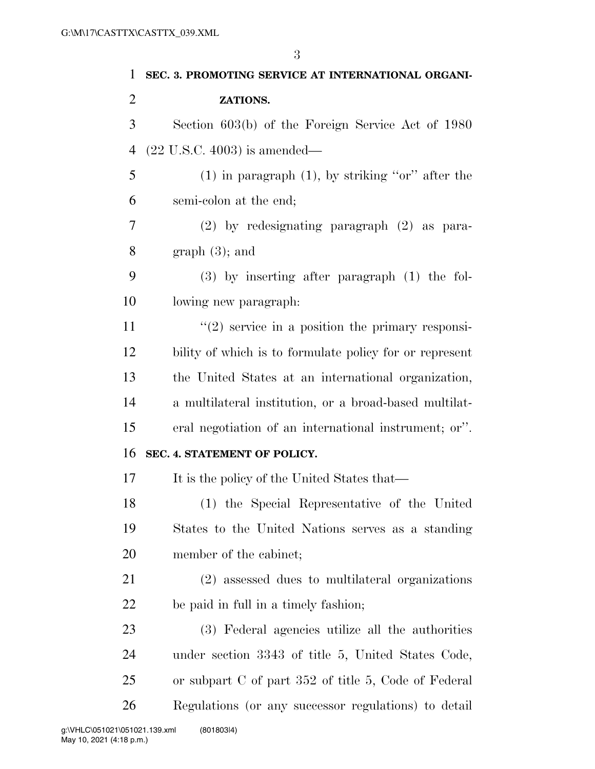| 1              | SEC. 3. PROMOTING SERVICE AT INTERNATIONAL ORGANI-      |
|----------------|---------------------------------------------------------|
| $\overline{2}$ | ZATIONS.                                                |
| 3              | Section 603(b) of the Foreign Service Act of 1980       |
| $\overline{4}$ | $(22 \text{ U.S.C. } 4003)$ is amended—                 |
| 5              | $(1)$ in paragraph $(1)$ , by striking "or" after the   |
| 6              | semi-colon at the end;                                  |
| 7              | $(2)$ by redesignating paragraph $(2)$ as para-         |
| 8              | graph(3); and                                           |
| 9              | $(3)$ by inserting after paragraph $(1)$ the fol-       |
| 10             | lowing new paragraph.                                   |
| 11             | $\lq(2)$ service in a position the primary responsi-    |
| 12             | bility of which is to formulate policy for or represent |
| 13             | the United States at an international organization,     |
| 14             | a multilateral institution, or a broad-based multilat-  |
| 15             | eral negotiation of an international instrument; or".   |
| 16             | SEC. 4. STATEMENT OF POLICY.                            |
| 17             | It is the policy of the United States that—             |
| 18             | (1) the Special Representative of the United            |
| 19             | States to the United Nations serves as a standing       |
| 20             | member of the cabinet;                                  |
| 21             | (2) assessed dues to multilateral organizations         |
| 22             | be paid in full in a timely fashion;                    |
| 23             | (3) Federal agencies utilize all the authorities        |
| 24             | under section 3343 of title 5, United States Code,      |
| 25             | or subpart C of part 352 of title 5, Code of Federal    |
| 26             | Regulations (or any successor regulations) to detail    |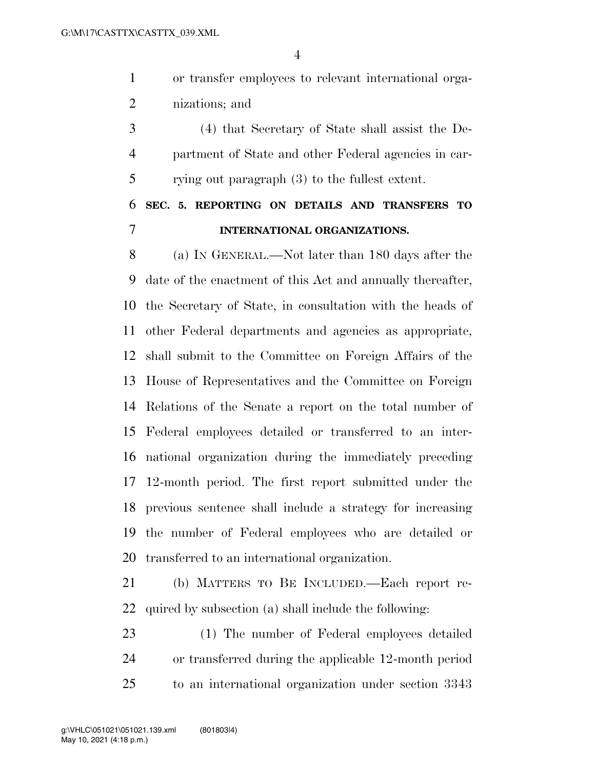or transfer employees to relevant international orga-nizations; and

 (4) that Secretary of State shall assist the De- partment of State and other Federal agencies in car-rying out paragraph (3) to the fullest extent.

### **SEC. 5. REPORTING ON DETAILS AND TRANSFERS TO INTERNATIONAL ORGANIZATIONS.**

 (a) IN GENERAL.—Not later than 180 days after the date of the enactment of this Act and annually thereafter, the Secretary of State, in consultation with the heads of other Federal departments and agencies as appropriate, shall submit to the Committee on Foreign Affairs of the House of Representatives and the Committee on Foreign Relations of the Senate a report on the total number of Federal employees detailed or transferred to an inter- national organization during the immediately preceding 12-month period. The first report submitted under the previous sentence shall include a strategy for increasing the number of Federal employees who are detailed or transferred to an international organization.

 (b) MATTERS TO BE INCLUDED.—Each report re-quired by subsection (a) shall include the following:

 (1) The number of Federal employees detailed or transferred during the applicable 12-month period to an international organization under section 3343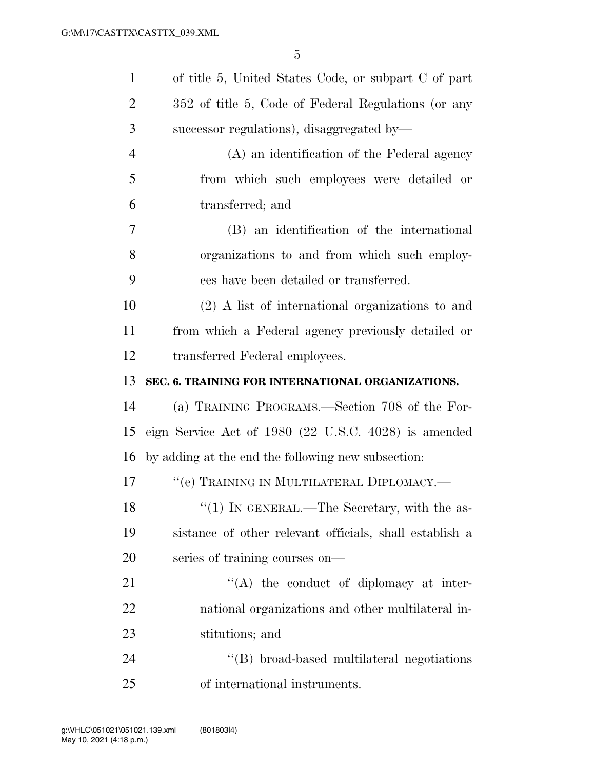| $\mathbf{1}$   | of title 5, United States Code, or subpart C of part    |
|----------------|---------------------------------------------------------|
| $\overline{2}$ | 352 of title 5, Code of Federal Regulations (or any     |
| 3              | successor regulations), disaggregated by-               |
| $\overline{4}$ | (A) an identification of the Federal agency             |
| 5              | from which such employees were detailed or              |
| 6              | transferred; and                                        |
| $\overline{7}$ | (B) an identification of the international              |
| 8              | organizations to and from which such employ-            |
| 9              | ees have been detailed or transferred.                  |
| 10             | $(2)$ A list of international organizations to and      |
| 11             | from which a Federal agency previously detailed or      |
| 12             | transferred Federal employees.                          |
| 13             | SEC. 6. TRAINING FOR INTERNATIONAL ORGANIZATIONS.       |
| 14             | (a) TRAINING PROGRAMS.—Section 708 of the For-          |
| 15             | eign Service Act of 1980 (22 U.S.C. 4028) is amended    |
| 16             | by adding at the end the following new subsection:      |
| 17             | "(e) TRAINING IN MULTILATERAL DIPLOMACY.—               |
| 18             | " $(1)$ IN GENERAL.—The Secretary, with the as-         |
| 19             | sistance of other relevant officials, shall establish a |
| 20             | series of training courses on-                          |
| 21             | $\lq\lq$ the conduct of diplomacy at inter-             |
| 22             | national organizations and other multilateral in-       |
| 23             | stitutions; and                                         |
| 24             | "(B) broad-based multilateral negotiations              |
| 25             | of international instruments.                           |